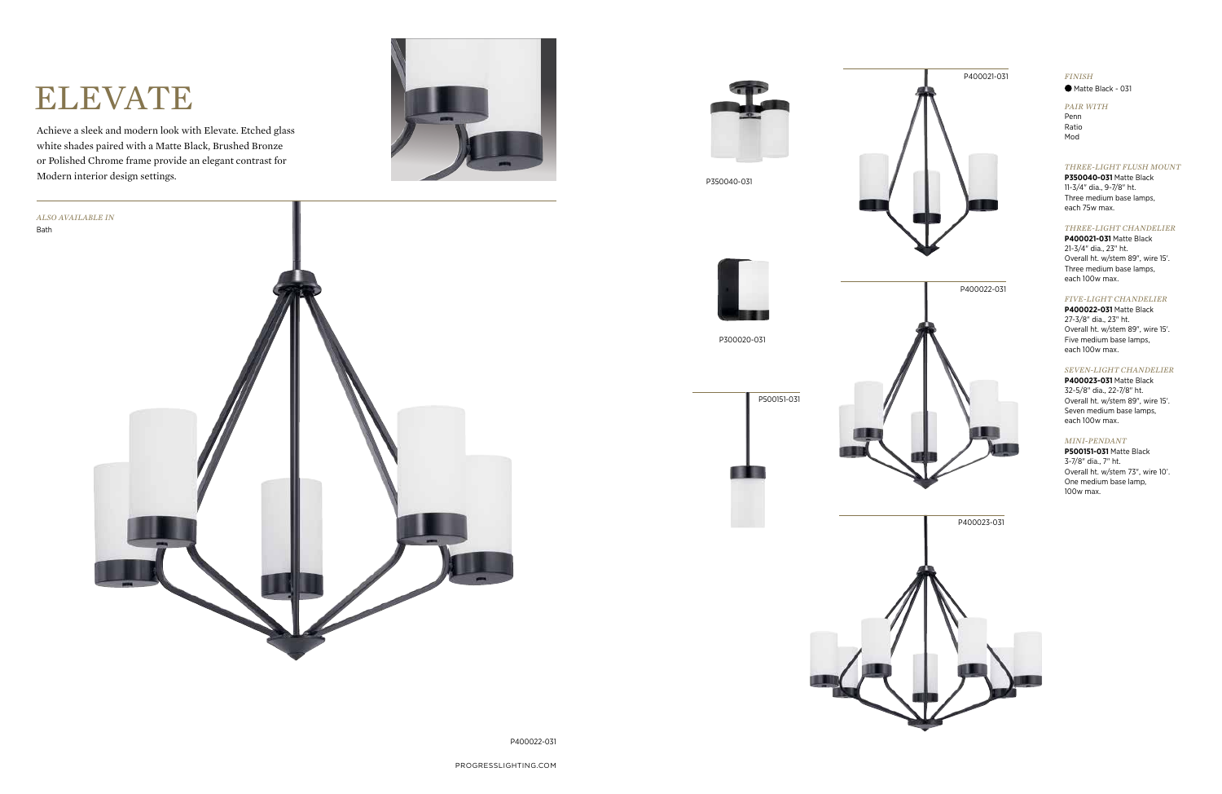### *FINISH*

 $\bullet$  Matte Black - 031

P400022-031

# ELEVATE

Achieve a sleek and modern look with Elevate. Etched glass white shades paired with a Matte Black, Brushed Bronze or Polished Chrome frame provide an elegant contrast for Modern interior design settings.











P350040-031





**P400021-031** Matte Black 21-3/4" dia., 23" ht. Overall ht. w/stem 89", wire 15'. Three medium base lamps, each 100w max.

#### *FIVE-LIGHT CHANDELIER*

**P400022-031** Matte Black 27-3/8" dia., 23" ht. Overall ht. w/stem 89", wire 15'. Five medium base lamps, each 100w max.

#### *SEVEN-LIGHT CHANDELIER*

**P400023-031** Matte Black 32-5/8" dia., 22-7/8" ht. Overall ht. w/stem 89", wire 15'. Seven medium base lamps, each 100w max.

#### *THREE-LIGHT FLUSH MOUNT*

**P350040-031** Matte Black 11-3/4" dia., 9-7/8" ht. Three medium base lamps, each 75w max.



#### *MINI-PENDANT*

**P500151-031** Matte Black 3-7/8" dia., 7" ht. Overall ht. w/stem 73", wire 10'. One medium base lamp, 100w max.

#### *PAIR WITH*

Penn Ratio Mod

P300020-031

.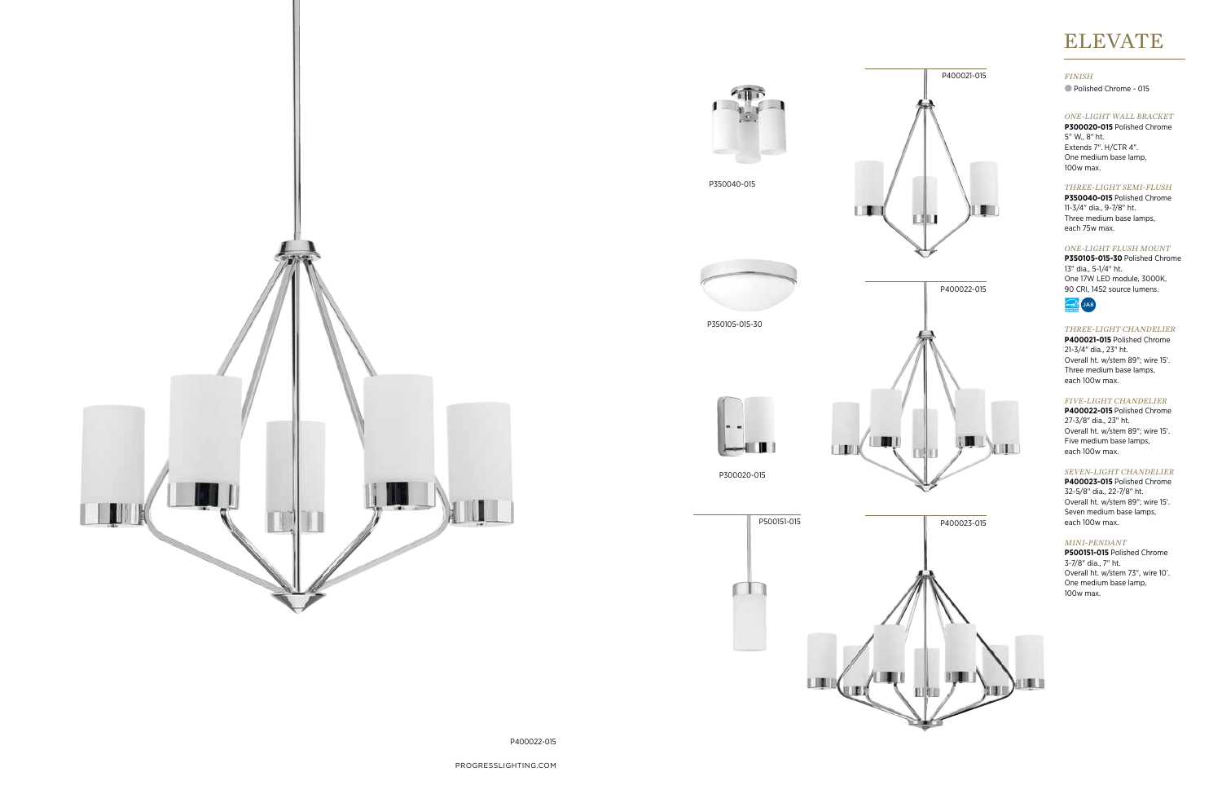PROGRESSLIGHTING.COM

P400022-015

#### *FINISH*

Polished Chrome - 015





LI.



#### *ONE-LIGHT WALL BRACKET*

**P300020-015** Polished Chrome 5" W., 8" ht. Extends 7". H/CTR 4". One medium base lamp, 100w max.

#### *THREE-LIGHT CHANDELIER*

**P400021-015** Polished Chrome 21-3/4" dia., 23" ht. Overall ht. w/stem 89"; wire 15'. Three medium base lamps, each 100w max.

#### *FIVE-LIGHT CHANDELIER*

**P400022-015** Polished Chrome 27-3/8" dia., 23" ht. Overall ht. w/stem 89"; wire 15'. Five medium base lamps, each 100w max.



#### *SEVEN-LIGHT CHANDELIER*

**P400023-015** Polished Chrome 32-5/8" dia., 22-7/8" ht. Overall ht. w/stem 89"; wire 15'. Seven medium base lamps, each 100w max.

#### *ONE-LIGHT FLUSH MOUNT*

**P350105-015-30** Polished Chrome 13" dia., 5-1/4" ht. One 17W LED module, 3000K, 90 CRI, 1452 source lumens.



#### *THREE-LIGHT SEMI-FLUSH*

**P350040-015** Polished Chrome 11-3/4" dia., 9-7/8" ht. Three medium base lamps, each 75w max.

# ELEVATE

#### *MINI-PENDANT*

**P500151-015** Polished Chrome 3-7/8" dia., 7" ht. Overall ht. w/stem 73", wire 10'. One medium base lamp, 100w max.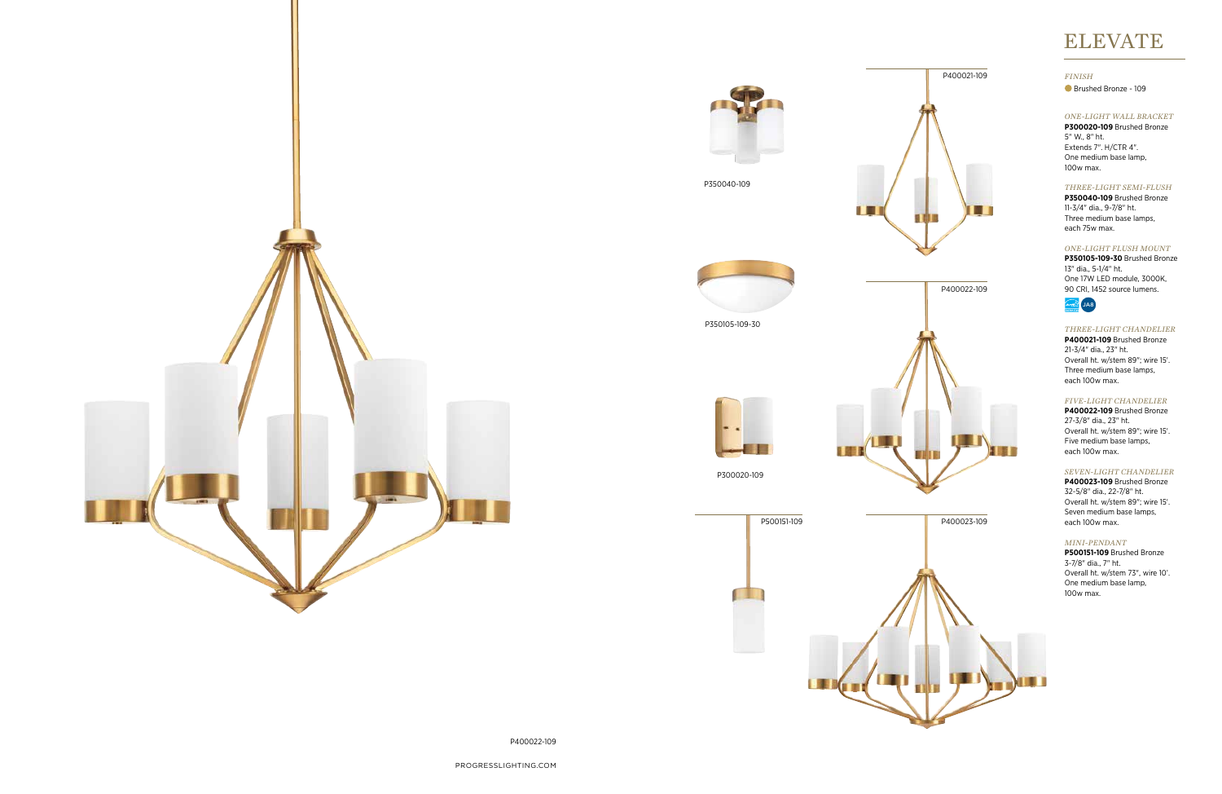PROGRESSLIGHTING.COM

P400022-109

#### *ONE-LIGHT WALL BRACKET*

**P300020-109** Brushed Bronze 5" W., 8" ht. Extends 7". H/CTR 4". One medium base lamp, 100w max.

#### *THREE-LIGHT CHANDELIER*

**P400021-109** Brushed Bronze 21-3/4" dia., 23" ht. Overall ht. w/stem 89"; wire 15'. Three medium base lamps, each 100w max.

#### *FIVE-LIGHT CHANDELIER*

**P400022-109** Brushed Bronze 27-3/8" dia., 23" ht. Overall ht. w/stem 89"; wire 15'. Five medium base lamps, each 100w max.

#### *SEVEN-LIGHT CHANDELIER*

**P400023-109** Brushed Bronze 32-5/8" dia., 22-7/8" ht. Overall ht. w/stem 89"; wire 15'. Seven medium base lamps, each 100w max.







n d



P350105-109-30

#### *ONE-LIGHT FLUSH MOUNT*

**P350105-109-30** Brushed Bronze 13" dia., 5-1/4" ht. One 17W LED module, 3000K, 90 CRI, 1452 source lumens.



#### *FINISH*

Brushed Bronze - 109







**P350040-109** Brushed Bronze 11-3/4" dia., 9-7/8" ht. Three medium base lamps, each 75w max.



# ELEVATE

#### *MINI-PENDANT*

**P500151-109** Brushed Bronze 3-7/8" dia., 7" ht. Overall ht. w/stem 73", wire 10'. One medium base lamp, 100w max.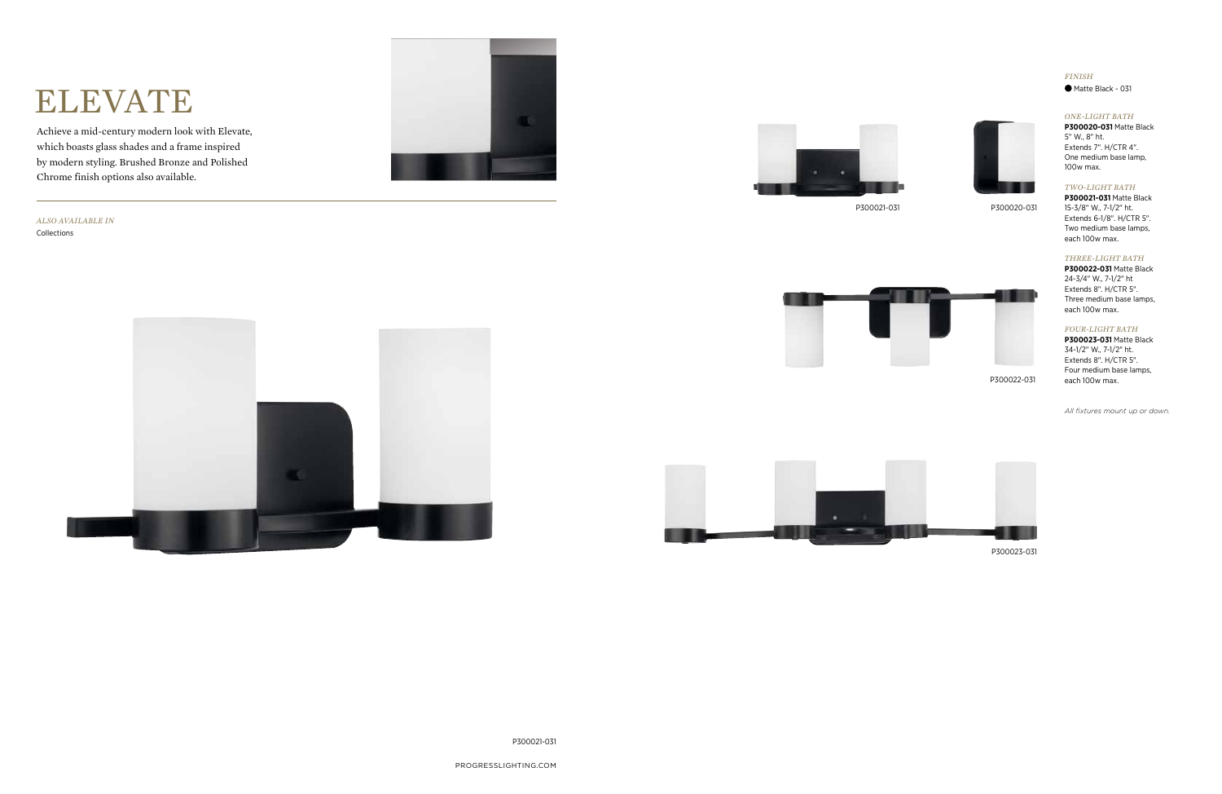PROGRESSLIGHTING.COM

# ELEVATE

Achieve a mid-century modern look with Elevate, which boasts glass shades and a frame inspired by modern styling. Brushed Bronze and Polished Chrome finish options also available.

P300021-031

*ALSO AVAILABLE IN* Collections





P300021-031









P300020-031

P300023-031

## *FINISH*

Matte Black - 031

#### *ONE-LIGHT BATH*

**P300020-031** Matte Black 5" W., 8" ht. Extends 7". H/CTR 4". One medium base lamp, 100w max.

#### *THREE-LIGHT BATH*

**P300022-031** Matte Black 24-3/4" W., 7-1/2" ht Extends 8". H/CTR 5". Three medium base lamps, each 100w max.

#### *FOUR-LIGHT BATH*

**P300023-031** Matte Black 34-1/2" W., 7-1/2" ht. Extends 8". H/CTR 5". Four medium base lamps, each 100w max.

#### *TWO-LIGHT BATH*

**P300021-031** Matte Black 15-3/8" W., 7-1/2" ht. Extends 6-1/8". H/CTR 5". Two medium base lamps, each 100w max.

*All fixtures mount up or down.*